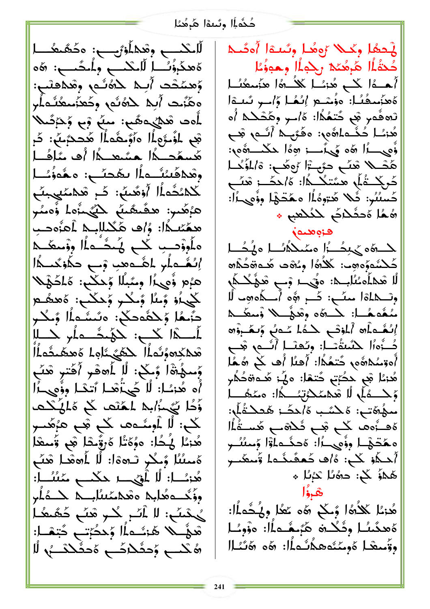حُدُّه إِلَّا وِنُبِيهْ! هُرِهُنَا!

لَّاسْكَــــــــــو تَعْدَلُوْتُنِــــــو: ۚ هَحَشَــعُــــــا ەُھكْرۇُنُـــا لَّامْكْــــى وِلُمصَّـــى: 6ە وُهنَدْدَد أُبِيهِ لِمَاشَمٍ وِهُدَهِنْبٍ: وهَّنُت أَبِهِ لِاهُنَّهِ وِكَعْنُمْعُلُّهِ أَم ـأُوت شَيْ وصَّع: مِنَّ وَج وَّجَدَّـدْ<br>شِع ـاؤَخَوجاً وَأَوَّحْقَا الشَّحِجَّينَ: كَرِ هُسمُدےُ المسَّبِعِنِیْ اللَّهِ سَاهُنَا وقَدْهُنْشُــه أَا يَمْحَنّــي: مَعْهُؤُــُــا ـ<br>ـكدـُـدُه *أ*ل أُومَّد مِّ : ضَـر هَـدْمَـ*ُن*ـهِــبِـبَــُـمِــ ھ<sub>َ</sub>بِّصُبِ: ھَڪَنصَّمَ كَمَهُنَّمَ أَوْمَنُّو همَّنْتَـدًا: وُ/َفْ هَكْتَالِيَـدْ لْمَوْهْجَتِ مأووْتيب كُلّ فُخَشْماًا ووْسطَكُ إِنْشُـٰہ لَم لِمُـُـہِمِنِ وَسِـہِ حَكَٰوَتُنَـٰدًا هَ ُو ذُوبِدًا وِمَّبِلًا وَحِكْمٍ: هَاخَهْلا ݣَٰٰٓݣُوا۟ وۡۡ مَلَّا وَۡكُم وَۡحَكَٰبَ ۚ هَٰۡعَظُم دَّمْطًا وَلِكَفُوكِيٌّ: ۚ وَتَسْتَوِلُوا ۖ وَمِكْتِرِ لَمِسْمَا كَبِيَّ حَيْمَشْسِمَلُو حَسَلِلِ هْدْكُووُنُومًا ۖ حَتَّى بَاوِءً وَمَعْمَدُومًا ۖ وَمِعَةُ أَوْ مَجْمٍ: لَا أَمَاهُو أَفَترِ هُبُ أُه هُٰذِبًا: لَٰا ٓ كَهٰذُهُما ٱتنكُما وؤُهيماً! وَّدًا بِّكَ الْمَنْعَدِ مِنْهُمْ مِنْ الْمَكْتَ كُم: لَا ـُلِمِنَّــٰه كُمْ هُم هَزُهُمــر هُذِيُا لِيُحُا: دَوُهُتُا هُ رَقَّىثَا هُم قَصِعْلَا ەَمىنُىْا وُمِكْدٍ نَىھەْا: لَا لَمُعهَّمَا هْنَى هُذئا: لَا أَقِي 1 هكْب مَنْنُا: وَفَكُـــوهُـلِكُ وقَعَكْمَـتَتَلَبِـــكُمْ كَـــوُكُمْ كْمَمْشَى: لَا خْتَمْ بِكَدْ لَا مَحْمَىكُمْ لَا مَحْمَدُكُمْ هَوَْـــلا هَٰٓنَــْـماُا وۡحکُبۡتِــم حُبۡصَـا: ھُکُب وِۡحَثُکۡاتُب ہُحثُکُنَّبُ لَٰا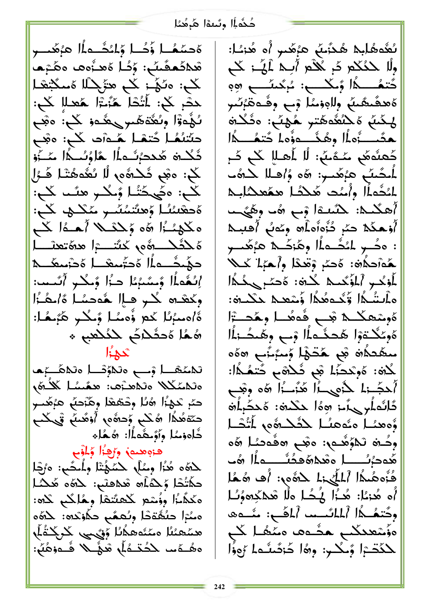حُدُّه أِل ونُىئةا هَرْهُمْا

ەَحسَّمُـا زُحُـا رَّاعْـُــەلَٰا ھرُھُـــو ھَٰٰٰٰٰہُکُمِگُنَّے: وِٞکُّے ہُعےُوہ وَکَّثِہِ كُم: ەَنَهُّ: كُمْ مِتَوَكْمًا هُمْكَتْبِقْدَ حثَّمِ كُلِّ: أَتُحْلَ هُنُتْل هُعلِلٍ كُلِّ: ئُهُّەۋَا وِنُعُّەَهُىرِ حِمْدَةٍ ۚ كَلِّ وَهُمِ حنّنُهُا دُّتمْا هُـهْ د كْج: هِ هِمْ دَّكْتْ هَٰدْدَرْشُمْاً هَٰٓاؤْسُـٰدًا مَنْـزَوْ كُلِ: هَبْلُ شُلْدَهُمْ لَا تُعْمَعُنْنَا فَــرَا كُم: ەكَهِكْتُا بُعُكِ هِتُم كُم: ەْحَعْسْنُـاْ وَهشَسْبَ مِنْكَـــى كَــحْ: هكلهنا أهه وَلِمَعْكَلا أَحْسَا كَبْ هُ لِمُثْلِ ـ هُ٥، كُنُنُـــــــْ إِ هِ هُمْتُعِنْــــا حَمَّىثُـــه ــهُم أَمْ حَتَّمِيعُــــــم مَّ حَتَّمِيعًا ـــــمّ إِنْـْهَـٰمَاْلِ وُسْتَبْتُلْ دَءُلْ وُسْكَـٰرٍ أَنَّسَـٰت: وكَعْدَه لَحْرِ هِـإِلا هُوَجِئْنَا وَٱلْحُنَّارَ ةُاهمبُرُلَا كَعِرُ وُهِمْا وُمِكْنِ هَبُنِهَا: ھُھُا ەُحثَكَلاَكُمْ لَحُكَكَتِبْ \* تحجئ

ەلكىكلا ەلكەشتە: ھۇسئا كلائى حبّ كهءًا هُنُا وِحْفَعْا وِهَّوَحَبْ هَزْهُمْ حَكْمِيَّةُ رَبُّمَةٌ وَحَدَّةٌ مِنْ أَمْرَضَعُ وَحَدَّمَتُ الْمَعْنَاتِ دَّادْفِسُا وَأَوُّمِيُّدَاْ!: ﴿ هَٰلَاءِ

فزوهمه وروءًا وُلَوْم لِهَاهِ هُذَا وِسُلَّى لِكُمُوْتَنَا وِلْمُحَبِّ هُ وُجَا حكَتُحًا وَحْدُلُه مْدْهِنْبِ: حَيَّهُ مَحْمَـٰل هَكُمُّنُا وِوُّسْعِ كَعِتَنْهَا وِهُاكُم كَلَّهِ: مِنْتِزَا حِنُثَقَوْدًا وِنُعِمَّمٍ حَكَّوْبُدِهِ: حَيَّةٌهِ همّْعَنْنَا مِمْنُوهِكُمْا وَوَيْسِي كَرِجْتُمْلَى ەھُـەَــَ ـدُخَـدُلُمْ شَهْــلا قُــەَوْهُمْ:

ىُھُەھُلبط ھُـدَّىـبٌ ھۂِھُـىبِ /ُە ھُـزىـُـا: وِلَا حَكُكُم كَہِ كُلُّمَ أَبِيهِ لَمِنَّۃٍ كَمَ كُتْهُـــدًا وُلِكْـــب: يُهْدَبُـــب هِهِ ەَھڡٞىئىنّ والوزىمُا ۋى وڤەقبُنّىر لْهَمَّكُمْ مَ لِمُلْعُدُهُتَمِ هُوْمَكِ: هَنْكُمْ هدًىـــأه أا وهُذَـــوؤُه ا حٌتمُـــدُا حُمثُمَهُم مُنْمَنِّي: لَا لَمْطِلِ كَبِي كَبِي لْمُصَّبِّ هَزْهُمْسِ: 6ه وُ/قبال كَلْهُب لمُثْماً وٰ ُسُت هُلاَصًا مِعَمِلاً لِهِ أَهْكُمْ؟: لِمُنْسَدًا وْبِ هُـَ وِهَٰيَـُـب أُوْهِكُمْ حَبّْ ثُنُّواُواْوِ وِعَابُ أَهْبِــدَ : ەكْـــو لمْـُــُــماْا وِهُرْكَـــدْ هرُهُــــو هَٰ٥أَحِدُّاهَ: هَحَمٌ وْتَعَدَّا وأَحْمَلَ كَمَلاً لَمُوْكَــرٍ ٱلْمُؤَكَّسَــدُ كَـــْـرَة: كَاحَسَـرِ بِــمُــدُّا مألشُكُا وَّكُدهُكُمُّا وَجْتَعِيْهِ حَكْمَةٍ: هُوِسْعَكُمْ مْبِ فُوهُــا وِهُـَـــْتَوَا هُوِمُكْتَوْا هُحِدٌ وأَا وْبِ وِهُمِحُـٰٓ;اُا معَكَدُهُ هُم هُتَـٰهَا وَمُبَنِّم ٥٥٥ ِكْة: ەُوِكْحَنَّا شَّٖى شَكْشَى شَّىْحَاً: أَحجَــزلم حَمْيَ إِلَى مَنْ أَسْرَوْهِ مِنْ وَهْبِ ثَالُه لَمِن مَنْ مِنْهَا حَكْمَةَ: كَحَضْبِلُغ ؤەمىلا ەئەھئىل لمئىلىۋە كَتْحْبا وِحُـة لَـٰلاَوُهُــهِ: ەقْبِ ھفُـەئـُـل ھَٰ٥ فُزْهِ صُدًّا ٱلْمَلِّيْ مَا حَدَّةٍ مِ: أَفِ شَعْا أَه هُزْمًا: هُـزًا هُـُدًا هأَا هَٰكَكِهُوَنُـأَ وِحٌتمُــدًا ٱلملنُـــب ٱلمفّــح: منْـــوه ەۋشقىككى مىگەن ەشھار كىر لْمُكْتَـٰٓ،إ وُمُكْـٰرٍ: وِهُۚا كُرْمُسُـُما رُووُۚا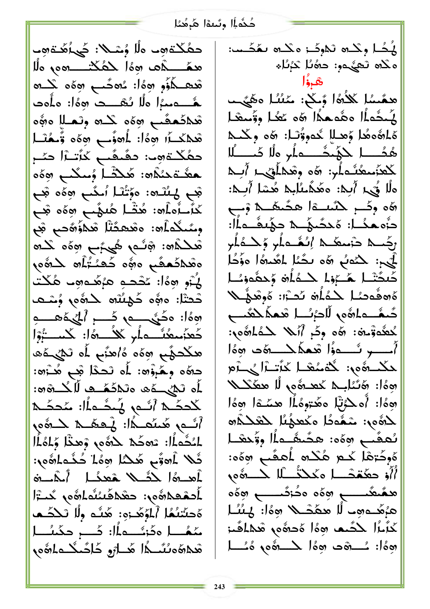حُدُّه إِلَّا وِنُبِيهْ! هُرِهُنَا!

حفَكْتَوِ ماْلَ وُسْمًا: كَيْ اُهُـتَوِب هُمُّـــدُهِ، وَهُ الْمُكْتَـــوهِ وَلَا هَتْعَبّْكُوْوِ وَوَدًا: مُوجَّعَبِ وَوَدَّة كَلَّــدَه هُــــومبُرا ولَّا نُـصْـــد هِوْا: وَلَوْد هُدْهُهُم وَهُو ݣُـ وفْعَالِ وَقُو هَدْكَمَا وَهُا: لِمُعوَّبٍ وَهَمْ وَّكْمَنْهَا حفُكْـةوما: دَهُـفُـــم كَأَتَـــٱا حَــّــمِ مْعَدْمُدْمُهُ: هَٰكُتُمْ وُسِكُبِ هِهُهِ قْبِ لِمُلْتُمْ: وَوُتُلًا ٱمكُبِ 200 قْبِ كَلَّمَاهُ الْمَوْسَلِ مِنْ مَسْمَى مَنْ مِنْهُمْ مِنْهُمْ مِنْ وِسُىگُەۦُا۞: ەھٛھكَتْا ھُلاَؤُھُڝ ۚ هُلِ تَعْكَدُهُ: ﴿ وَلَـٰهِ مِصْرَٰبٍ وَهُ مَدْهُ عَلَيْهِ ەقىم ئىمقىم ەۋە خەشتۇھ بىر ئە لَٰٓ; وہ ا: عُصْصِہِ عَہْمَـٰہوں ھُكُت دْمَتْا: ەبەُه كَهْلُلە لْمَدُّەر وُسْعَد هِ أَمْ يَكُوبُ مِنْ مُسْتَوَاءِ مُسْتَوَاءِ مِنْ الْمَصْبَةِ كَعْنُسْمَلَاتُـــدَارْ ﴾ [المستَرْوُا هكْحِمُّمِ هِهُه هُ/هِنَّمِ لَمَّه نَجِّيهُهُ حهُه وِهُبِؤُهِ: لَمَ تَحِدًا هُمِ هُــْزَهِ: مَاه تَسْيَدْهُ مَا مَكْلَسَدْ لِلْكُلْمَةِ: كَحَكَّمْ أَنَّــمٍ لَمَــثَــملًا: مَحَكِّــدٌ أَسُّم مَسْمَعٍ مِنْ أَمْـ هَدْمَهِ مِنْهُ أَ لْمُتَّعَلَمَا: 25هَكُمْ لِحَدُّهُ وَمِنْتُوا وَلَمُلَمَّا ثَلا لَمُعَنُّى هَٰلُمُا هِمَٰاۤ حُكُمَاهُونَ مُعْدِدُ الْمُسْمَلِ الْمُسْنَوِينَ لِمُحفَّدِهِ وَهُمَا مَعْدَفَعَنَدُهُ وَهُمْ مَحْتَزَا ەَحتَتىُمُا ٱلمُوَّهَٰـ: وَمَثَـٰه وِلًا تَـٰلَـَـٰم مَعْصًا وَدُنْـــولَمْا: كَــــر حكْنُـــا ھَدەھَەئىنىدا ھَلْہُو خَاجَىگىماھُەر

لُمحُـا وِكْـهِ تَمْوِكُـ; ه كَـهِ تَمَّكُــب: هَ لَاهُ صَهْمِهِ: حَدَّمُنَا مَكَرْمًا \* **ئگرؤا** همَّسُا ݣَلْاهُ أُمِّكَا: مَنْكُمْ هَيْبَ لَمُحْمَلًا مِثْمَعِجًا هُو مُعْلِ وقُصِعْدًا هُاهُوهُا وَهلا ێُووِۊُڷا: هُو وِكْسُمْ هُدُـــا كَهُنْدُـــولُر ولًا كَنــــلًا كْعْنَمْمْشُدْلُمْ: 60 وِتْعَدْلُوْيُ (أَبِيْدَ هِلْا فَيْ أَبِيْهِ: هِعَدَّسْلَبِيْ هُسْلِ أَبِيْهِ: هُه وِكْمِ لِمُنْسَةَ هِجْمَعْكُمْ وَسَمِ دَّومِكْ): ەَجْشَيْمِ جَهْبُڤُدَاْ: لَّكِيْ: كَتُمْنُ 6َهُ بِشَيْاً لِمُعْيَشَاً وَذُكَر كُنتُنْا هُجُوْا كُمُوَلُّقَ وَحَقُّونُـا ەُھفُومُـا ۞هُدُو سَمَـٰٓا: ەُوھَدُو صُمُّــواهُو الْادْرُسُــا شَعفُكْمُــم هُعَنُوتُوه: 60 وِضَرِ أَأَلمَلا كَدُمُكُمْ وَمِنْ أحسو تُسمؤُا هُعكُلسةَ وهُا حكْسِرَةُهِ: ݣَدْمُنْعْسَا كَنْتِسْرَا كِسْرَهِ ادِهُا: الْأَسْلَابِيمْ كَعِيدُوبِ لَا مِعْكَلِيلا ادِهْا: أَوْكُمْ بَالْ وَهُدَوِهُاْ مِنْهُمْ أَوْمَا لِمَوْهِ: سَفَّوطُ وَكَعِيْهُا لِمَعْدَمُهِ بُعفَّبٍ وِهَهَ: هضَّهُــماُ وِوَّحِعْــا ەُوِحُتِهْا كُلْع هُكُلُه لِمُعَشَّبِ وَهُوَ: أأو حكّفتْـــا مكلنُـــُلا كــــوهُ همُعَنْـــــــم وهُه هدَٰنَـــــــم وهُه هُرَهُـــومِــ لَا مِحَمْـَـــه وهُ!: لِـسُـٰـا كَلَّىْأَا لِكْسُمْ وَهَٰا هَدْهُمْ شَمْلَقَىْز اللهُ أَوْ أَنْ الْمُسْتَوَىٰ الْمُسْتَوْمِ وَمُسْلَمَ